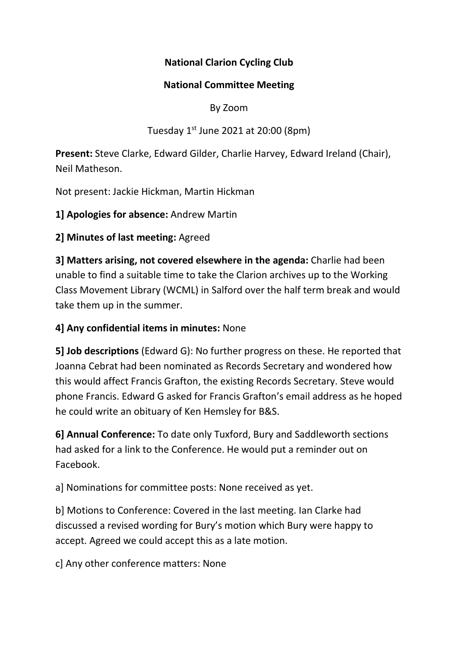# **National Clarion Cycling Club**

#### **National Committee Meeting**

#### By Zoom

# Tuesday 1<sup>st</sup> June 2021 at 20:00 (8pm)

**Present:** Steve Clarke, Edward Gilder, Charlie Harvey, Edward Ireland (Chair), Neil Matheson.

Not present: Jackie Hickman, Martin Hickman

**1] Apologies for absence:** Andrew Martin

## **2] Minutes of last meeting:** Agreed

**3] Matters arising, not covered elsewhere in the agenda:** Charlie had been unable to find a suitable time to take the Clarion archives up to the Working Class Movement Library (WCML) in Salford over the half term break and would take them up in the summer.

# **4] Any confidential items in minutes:** None

**5] Job descriptions** (Edward G): No further progress on these. He reported that Joanna Cebrat had been nominated as Records Secretary and wondered how this would affect Francis Grafton, the existing Records Secretary. Steve would phone Francis. Edward G asked for Francis Grafton's email address as he hoped he could write an obituary of Ken Hemsley for B&S.

**6] Annual Conference:** To date only Tuxford, Bury and Saddleworth sections had asked for a link to the Conference. He would put a reminder out on Facebook.

a] Nominations for committee posts: None received as yet.

b] Motions to Conference: Covered in the last meeting. Ian Clarke had discussed a revised wording for Bury's motion which Bury were happy to accept. Agreed we could accept this as a late motion.

c] Any other conference matters: None